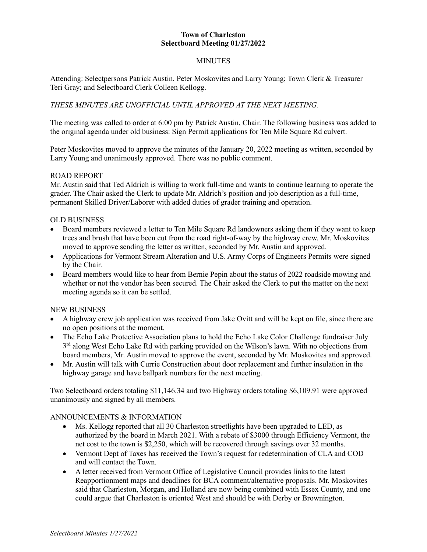# **Town of Charleston Selectboard Meeting 01/27/2022**

# MINUTES

Attending: Selectpersons Patrick Austin, Peter Moskovites and Larry Young; Town Clerk & Treasurer Teri Gray; and Selectboard Clerk Colleen Kellogg.

# *THESE MINUTES ARE UNOFFICIAL UNTIL APPROVED AT THE NEXT MEETING.*

The meeting was called to order at 6:00 pm by Patrick Austin, Chair. The following business was added to the original agenda under old business: Sign Permit applications for Ten Mile Square Rd culvert.

Peter Moskovites moved to approve the minutes of the January 20, 2022 meeting as written, seconded by Larry Young and unanimously approved. There was no public comment.

## ROAD REPORT

Mr. Austin said that Ted Aldrich is willing to work full-time and wants to continue learning to operate the grader. The Chair asked the Clerk to update Mr. Aldrich's position and job description as a full-time, permanent Skilled Driver/Laborer with added duties of grader training and operation.

## OLD BUSINESS

- Board members reviewed a letter to Ten Mile Square Rd landowners asking them if they want to keep trees and brush that have been cut from the road right-of-way by the highway crew. Mr. Moskovites moved to approve sending the letter as written, seconded by Mr. Austin and approved.
- Applications for Vermont Stream Alteration and U.S. Army Corps of Engineers Permits were signed by the Chair.
- Board members would like to hear from Bernie Pepin about the status of 2022 roadside mowing and whether or not the vendor has been secured. The Chair asked the Clerk to put the matter on the next meeting agenda so it can be settled.

#### NEW BUSINESS

- A highway crew job application was received from Jake Ovitt and will be kept on file, since there are no open positions at the moment.
- The Echo Lake Protective Association plans to hold the Echo Lake Color Challenge fundraiser July  $3<sup>rd</sup>$  along West Echo Lake Rd with parking provided on the Wilson's lawn. With no objections from board members, Mr. Austin moved to approve the event, seconded by Mr. Moskovites and approved.
- Mr. Austin will talk with Currie Construction about door replacement and further insulation in the highway garage and have ballpark numbers for the next meeting.

Two Selectboard orders totaling \$11,146.34 and two Highway orders totaling \$6,109.91 were approved unanimously and signed by all members.

#### ANNOUNCEMENTS & INFORMATION

- Ms. Kellogg reported that all 30 Charleston streetlights have been upgraded to LED, as authorized by the board in March 2021. With a rebate of \$3000 through Efficiency Vermont, the net cost to the town is \$2,250, which will be recovered through savings over 32 months.
- Vermont Dept of Taxes has received the Town's request for redetermination of CLA and COD and will contact the Town.
- A letter received from Vermont Office of Legislative Council provides links to the latest Reapportionment maps and deadlines for BCA comment/alternative proposals. Mr. Moskovites said that Charleston, Morgan, and Holland are now being combined with Essex County, and one could argue that Charleston is oriented West and should be with Derby or Brownington.